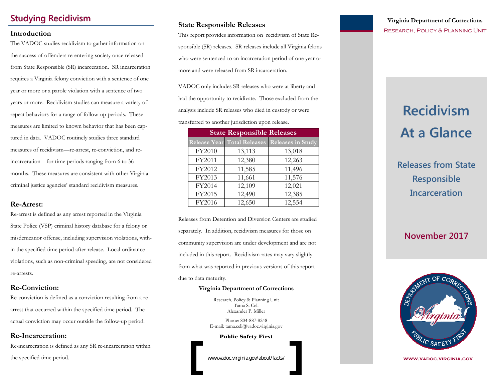## **Studying Recidivism**

#### **Introduction**

The VADOC studies recidivism to gather information on the success of offenders re-entering society once released from State Responsible (SR) incarceration. SR incarceration requires a Virginia felony conviction with a sentence of one year or more or a parole violation with a sentence of two years or more. Recidivism studies can measure a variety of repeat behaviors for a range of follow-up periods. These measures are limited to known behavior that has been captured in data. VADOC routinely studies three standard measures of recidivism—re-arrest, re-conviction, and reincarceration—for time periods ranging from 6 to 36 months. These measures are consistent with other Virginia criminal justice agencies' standard recidivism measures.

#### **Re-Arrest:**

Re-arrest is defined as any arrest reported in the Virginia State Police (VSP) criminal history database for a felony or misdemeanor offense, including supervision violations, within the specified time period after release. Local ordinance violations, such as non-criminal speeding, are not considered re-arrests.

#### **Re-Conviction:**

Re-conviction is defined as a conviction resulting from a rearrest that occurred within the specified time period. The actual conviction may occur outside the follow-up period.

#### **Re-Incarceration:**

Re-incarceration is defined as any SR re-incarceration within the specified time period.

#### **State Responsible Releases**

This report provides information on recidivism of State Responsible (SR) releases. SR releases include all Virginia felons who were sentenced to an incarceration period of one year or more and were released from SR incarceration.

VADOC only includes SR releases who were at liberty and had the opportunity to recidivate. Those excluded from the analysis include SR releases who died in custody or were transferred to another jurisdiction upon release.

| <b>State Responsible Releases</b> |                                    |                          |  |  |  |  |
|-----------------------------------|------------------------------------|--------------------------|--|--|--|--|
|                                   | <b>Release Year Total Releases</b> | <b>Releases in Study</b> |  |  |  |  |
| FY2010                            | 13,113                             | 13,018                   |  |  |  |  |
| FY2011                            | 12,380                             | 12,263                   |  |  |  |  |
| FY2012                            | 11,585                             | 11,496                   |  |  |  |  |
| FY2013                            | 11,661                             | 11,576                   |  |  |  |  |
| FY2014                            | 12,109                             | 12,021                   |  |  |  |  |
| FY2015                            | 12,490                             | 12,385                   |  |  |  |  |
| FY2016                            | 12,650                             | 12,554                   |  |  |  |  |

Releases from Detention and Diversion Centers are studied separately. In addition, recidivism measures for those on community supervision are under development and are not included in this report. Recidivism rates may vary slightly from what was reported in previous versions of this report due to data maturity.

#### **Virginia Department of Corrections**

Research, Policy & Planning Unit Tama S. Celi Alexander P. Miller

Phone: 804-887-8248 E-mail: tama.celi@vadoc.virginia.gov

Public Safety First

www.vadoc.virginia.gov/about/facts/

### **Virginia Department of Corrections**  Research, Policy & Planning Unit

# **Recidivism Recidivism At a Glance At a Glance**

**Releases from State Responsible Incarceration**

## **November 2017**



**www.vadoc.virginia.gov**